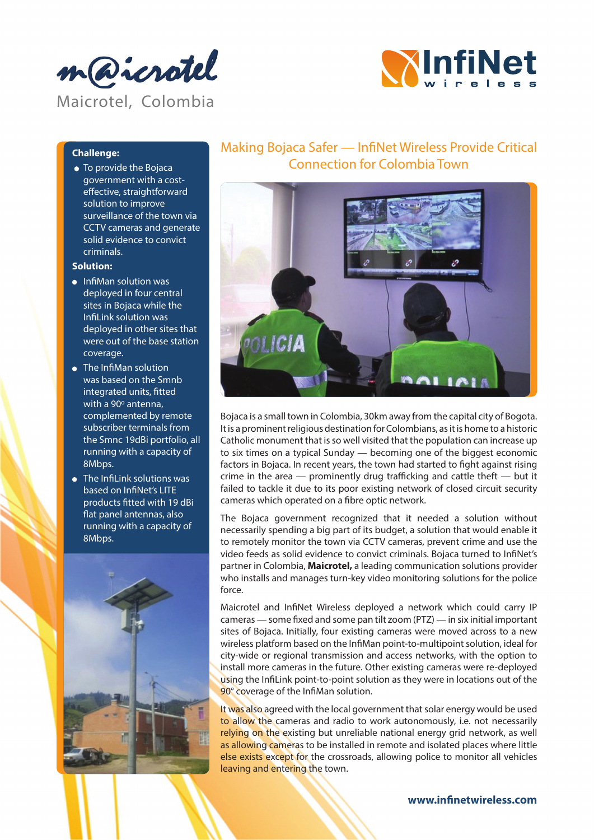



### **Challenge:**

To provide the Bojaca government with a costeffective, straightforward solution to improve surveillance of the town via CCTV cameras and generate solid evidence to convict criminals.

#### **Solution:**

- InfiMan solution was deployed in four central sites in Bojaca while the InfiLink solution was deployed in other sites that were out of the base station coverage.
- The InfiMan solution was based on the Smnb integrated units, fitted with a 90º antenna, complemented by remote subscriber terminals from the Smnc 19dBi portfolio, all running with a capacity of 8Mbps.
- The Infilink solutions was based on InfiNet's LITE products fitted with 19 dBi flat panel antennas, also running with a capacity of 8Mbps.



## Making Bojaca Safer — InfiNet Wireless Provide Critical Connection for Colombia Town



Bojaca is a small town in Colombia, 30km away from the capital city of Bogota. It is a prominent religious destination for Colombians, as it is home to a historic Catholic monument that is so well visited that the population can increase up to six times on a typical Sunday — becoming one of the biggest economic factors in Bojaca. In recent years, the town had started to fight against rising crime in the area — prominently drug trafficking and cattle theft — but it failed to tackle it due to its poor existing network of closed circuit security cameras which operated on a fibre optic network.

The Bojaca government recognized that it needed a solution without necessarily spending a big part of its budget, a solution that would enable it to remotely monitor the town via CCTV cameras, prevent crime and use the video feeds as solid evidence to convict criminals. Bojaca turned to InfiNet's partner in Colombia, **Maicrotel,** a leading communication solutions provider who installs and manages turn-key video monitoring solutions for the police force.

Maicrotel and InfiNet Wireless deployed a network which could carry IP cameras — some fixed and some pan tilt zoom (PTZ) — in six initial important sites of Bojaca. Initially, four existing cameras were moved across to a new wireless platform based on the InfiMan point-to-multipoint solution, ideal for city-wide or regional transmission and access networks, with the option to install more cameras in the future. Other existing cameras were re-deployed using the InfiLink point-to-point solution as they were in locations out of the 90° coverage of the InfiMan solution.

It was also agreed with the local government that solar energy would be used to allow the cameras and radio to work autonomously, i.e. not necessarily relying on the existing but unreliable national energy grid network, as well as allowing cameras to be installed in remote and isolated places where little else exists except for the crossroads, allowing police to monitor all vehicles leaving and entering the town.